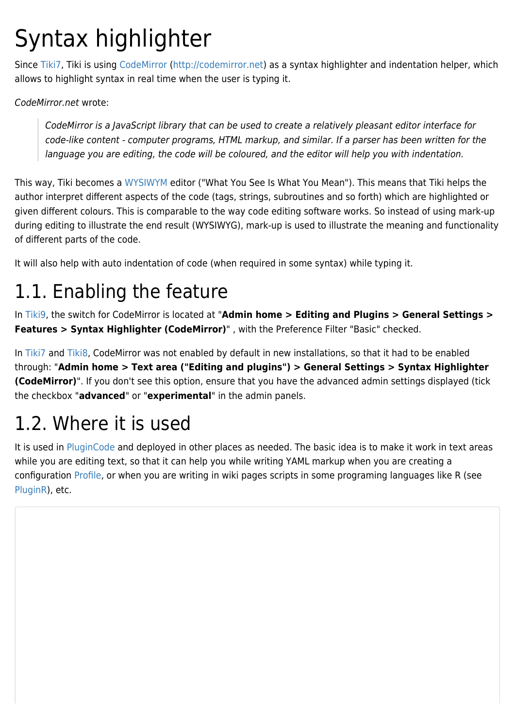# Syntax highlighter

Since [Tiki7,](https://doc.tiki.org/Tiki7) Tiki is using [CodeMirror](https://doc.tiki.org/CodeMirror) [\(http://codemirror.net](http://codemirror.net)) as a syntax highlighter and indentation helper, which allows to highlight syntax in real time when the user is typing it.

CodeMirror.net wrote:

CodeMirror is a JavaScript library that can be used to create a relatively pleasant editor interface for code-like content - computer programs, HTML markup, and similar. If a parser has been written for the language you are editing, the code will be coloured, and the editor will help you with indentation.

This way, Tiki becomes a [WYSIWYM](http://en.wikipedia.org/wiki/WYSIWYM) editor ("What You See Is What You Mean"). This means that Tiki helps the author interpret different aspects of the code (tags, strings, subroutines and so forth) which are highlighted or given different colours. This is comparable to the way code editing software works. So instead of using mark-up during editing to illustrate the end result (WYSIWYG), mark-up is used to illustrate the meaning and functionality of different parts of the code.

It will also help with auto indentation of code (when required in some syntax) while typing it.

## 1.1. Enabling the feature

In [Tiki9,](https://doc.tiki.org/Tiki9) the switch for CodeMirror is located at "**Admin home > Editing and Plugins > General Settings > Features > Syntax Highlighter (CodeMirror)**" , with the Preference Filter "Basic" checked.

In [Tiki7](https://doc.tiki.org/Tiki7) and [Tiki8](https://doc.tiki.org/Tiki8), CodeMirror was not enabled by default in new installations, so that it had to be enabled through: "**Admin home > Text area ("Editing and plugins") > General Settings > Syntax Highlighter (CodeMirror)**". If you don't see this option, ensure that you have the advanced admin settings displayed (tick the checkbox "**advanced**" or "**experimental**" in the admin panels.

# 1.2. Where it is used

It is used in [PluginCode](https://doc.tiki.org/PluginCode) and deployed in other places as needed. The basic idea is to make it work in text areas while you are editing text, so that it can help you while writing YAML markup when you are creating a configuration [Profile](https://doc.tiki.org/Profile), or when you are writing in wiki pages scripts in some programing languages like R (see [PluginR](https://doc.tiki.org/PluginR)), etc.